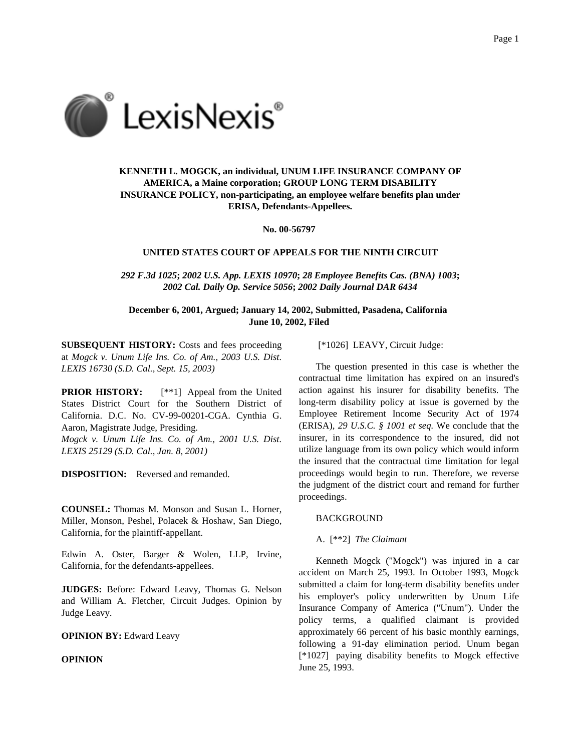

# **KENNETH L. MOGCK, an individual, UNUM LIFE INSURANCE COMPANY OF AMERICA, a Maine corporation; GROUP LONG TERM DISABILITY INSURANCE POLICY, non-participating, an employee welfare benefits plan under ERISA, Defendants-Appellees.**

**No. 00-56797**

# **UNITED STATES COURT OF APPEALS FOR THE NINTH CIRCUIT**

*292 F.3d 1025***;** *2002 U.S. App. LEXIS 10970***;** *28 Employee Benefits Cas. (BNA) 1003***;** *2002 Cal. Daily Op. Service 5056***;** *2002 Daily Journal DAR 6434*

**December 6, 2001, Argued; January 14, 2002, Submitted, Pasadena, California June 10, 2002, Filed**

**SUBSEQUENT HISTORY:** Costs and fees proceeding at *Mogck v. Unum Life Ins. Co. of Am., 2003 U.S. Dist. LEXIS 16730 (S.D. Cal., Sept. 15, 2003)*

**PRIOR HISTORY:** [\*\*1] Appeal from the United States District Court for the Southern District of California. D.C. No. CV-99-00201-CGA. Cynthia G. Aaron, Magistrate Judge, Presiding.

*Mogck v. Unum Life Ins. Co. of Am., 2001 U.S. Dist. LEXIS 25129 (S.D. Cal., Jan. 8, 2001)*

**DISPOSITION:** Reversed and remanded.

**COUNSEL:** Thomas M. Monson and Susan L. Horner, Miller, Monson, Peshel, Polacek & Hoshaw, San Diego, California, for the plaintiff-appellant.

Edwin A. Oster, Barger & Wolen, LLP, Irvine, California, for the defendants-appellees.

**JUDGES:** Before: Edward Leavy, Thomas G. Nelson and William A. Fletcher, Circuit Judges. Opinion by Judge Leavy.

**OPINION BY:** Edward Leavy

**OPINION**

[\*1026] LEAVY, Circuit Judge:

The question presented in this case is whether the contractual time limitation has expired on an insured's action against his insurer for disability benefits. The long-term disability policy at issue is governed by the Employee Retirement Income Security Act of 1974 (ERISA), *29 U.S.C. § 1001 et seq.* We conclude that the insurer, in its correspondence to the insured, did not utilize language from its own policy which would inform the insured that the contractual time limitation for legal proceedings would begin to run. Therefore, we reverse the judgment of the district court and remand for further proceedings.

#### BACKGROUND

### A. [\*\*2] *The Claimant*

Kenneth Mogck ("Mogck") was injured in a car accident on March 25, 1993. In October 1993, Mogck submitted a claim for long-term disability benefits under his employer's policy underwritten by Unum Life Insurance Company of America ("Unum"). Under the policy terms, a qualified claimant is provided approximately 66 percent of his basic monthly earnings, following a 91-day elimination period. Unum began [\*1027] paying disability benefits to Mogck effective June 25, 1993.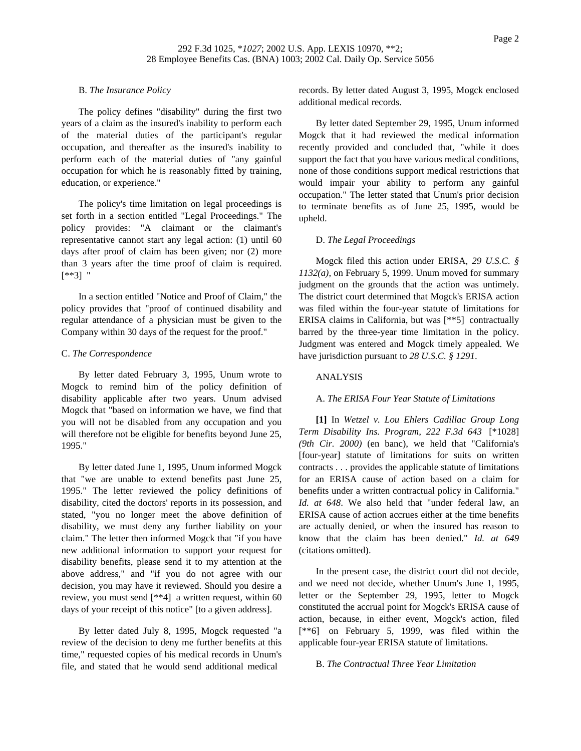# B. *The Insurance Policy*

The policy defines "disability" during the first two years of a claim as the insured's inability to perform each of the material duties of the participant's regular occupation, and thereafter as the insured's inability to perform each of the material duties of "any gainful occupation for which he is reasonably fitted by training, education, or experience."

The policy's time limitation on legal proceedings is set forth in a section entitled "Legal Proceedings." The policy provides: "A claimant or the claimant's representative cannot start any legal action: (1) until 60 days after proof of claim has been given; nor (2) more than 3 years after the time proof of claim is required. [\*\*3] "

In a section entitled "Notice and Proof of Claim," the policy provides that "proof of continued disability and regular attendance of a physician must be given to the Company within 30 days of the request for the proof."

## C. *The Correspondence*

By letter dated February 3, 1995, Unum wrote to Mogck to remind him of the policy definition of disability applicable after two years. Unum advised Mogck that "based on information we have, we find that you will not be disabled from any occupation and you will therefore not be eligible for benefits beyond June 25, 1995."

By letter dated June 1, 1995, Unum informed Mogck that "we are unable to extend benefits past June 25, 1995." The letter reviewed the policy definitions of disability, cited the doctors' reports in its possession, and stated, "you no longer meet the above definition of disability, we must deny any further liability on your claim." The letter then informed Mogck that "if you have new additional information to support your request for disability benefits, please send it to my attention at the above address," and "if you do not agree with our decision, you may have it reviewed. Should you desire a review, you must send [\*\*4] a written request, within 60 days of your receipt of this notice" [to a given address].

By letter dated July 8, 1995, Mogck requested "a review of the decision to deny me further benefits at this time," requested copies of his medical records in Unum's file, and stated that he would send additional medical

records. By letter dated August 3, 1995, Mogck enclosed additional medical records.

By letter dated September 29, 1995, Unum informed Mogck that it had reviewed the medical information recently provided and concluded that, "while it does support the fact that you have various medical conditions, none of those conditions support medical restrictions that would impair your ability to perform any gainful occupation." The letter stated that Unum's prior decision to terminate benefits as of June 25, 1995, would be upheld.

## D. *The Legal Proceedings*

Mogck filed this action under ERISA, *29 U.S.C. § 1132(a)*, on February 5, 1999. Unum moved for summary judgment on the grounds that the action was untimely. The district court determined that Mogck's ERISA action was filed within the four-year statute of limitations for ERISA claims in California, but was [\*\*5] contractually barred by the three-year time limitation in the policy. Judgment was entered and Mogck timely appealed. We have jurisdiction pursuant to *28 U.S.C. § 1291*.

#### ANALYSIS

### A. *The ERISA Four Year Statute of Limitations*

**[1]** In *Wetzel v. Lou Ehlers Cadillac Group Long Term Disability Ins. Program, 222 F.3d 643* [\*1028] *(9th Cir. 2000)* (en banc), we held that "California's [four-year] statute of limitations for suits on written contracts . . . provides the applicable statute of limitations for an ERISA cause of action based on a claim for benefits under a written contractual policy in California." *Id. at 648*. We also held that "under federal law, an ERISA cause of action accrues either at the time benefits are actually denied, or when the insured has reason to know that the claim has been denied." *Id. at 649* (citations omitted).

In the present case, the district court did not decide, and we need not decide, whether Unum's June 1, 1995, letter or the September 29, 1995, letter to Mogck constituted the accrual point for Mogck's ERISA cause of action, because, in either event, Mogck's action, filed [\*\*6] on February 5, 1999, was filed within the applicable four-year ERISA statute of limitations.

#### B. *The Contractual Three Year Limitation*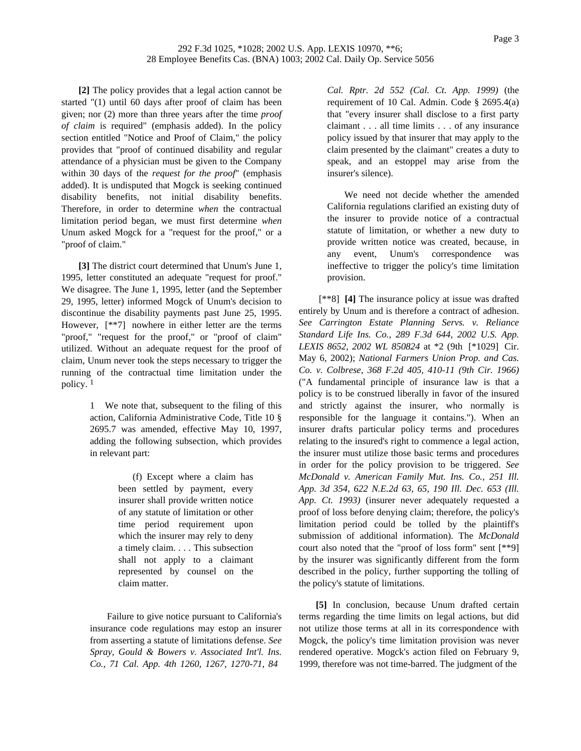**[2]** The policy provides that a legal action cannot be started "(1) until 60 days after proof of claim has been given; nor (2) more than three years after the time *proof of claim* is required" (emphasis added). In the policy section entitled "Notice and Proof of Claim," the policy provides that "proof of continued disability and regular attendance of a physician must be given to the Company within 30 days of the *request for the proof*" (emphasis added). It is undisputed that Mogck is seeking continued disability benefits, not initial disability benefits. Therefore, in order to determine *when* the contractual limitation period began, we must first determine *when* Unum asked Mogck for a "request for the proof," or a "proof of claim."

**[3]** The district court determined that Unum's June 1, 1995, letter constituted an adequate "request for proof." We disagree. The June 1, 1995, letter (and the September 29, 1995, letter) informed Mogck of Unum's decision to discontinue the disability payments past June 25, 1995. However, [\*\*7] nowhere in either letter are the terms "proof," "request for the proof," or "proof of claim" utilized. Without an adequate request for the proof of claim, Unum never took the steps necessary to trigger the running of the contractual time limitation under the policy. 1

> 1 We note that, subsequent to the filing of this action, California Administrative Code, Title 10 § 2695.7 was amended, effective May 10, 1997, adding the following subsection, which provides in relevant part:

> > (f) Except where a claim has been settled by payment, every insurer shall provide written notice of any statute of limitation or other time period requirement upon which the insurer may rely to deny a timely claim. . . . This subsection shall not apply to a claimant represented by counsel on the claim matter.

Failure to give notice pursuant to California's insurance code regulations may estop an insurer from asserting a statute of limitations defense. *See Spray, Gould & Bowers v. Associated Int'l. Ins. Co., 71 Cal. App. 4th 1260, 1267, 1270-71, 84*

*Cal. Rptr. 2d 552 (Cal. Ct. App. 1999)* (the requirement of 10 Cal. Admin. Code § 2695.4(a) that "every insurer shall disclose to a first party claimant . . . all time limits . . . of any insurance policy issued by that insurer that may apply to the claim presented by the claimant" creates a duty to speak, and an estoppel may arise from the insurer's silence).

We need not decide whether the amended California regulations clarified an existing duty of the insurer to provide notice of a contractual statute of limitation, or whether a new duty to provide written notice was created, because, in any event, Unum's correspondence was ineffective to trigger the policy's time limitation provision.

[\*\*8] **[4]** The insurance policy at issue was drafted entirely by Unum and is therefore a contract of adhesion. *See Carrington Estate Planning Servs. v. Reliance Standard Life Ins. Co., 289 F.3d 644, 2002 U.S. App. LEXIS 8652, 2002 WL 850824* at \*2 (9th [\*1029] Cir. May 6, 2002); *National Farmers Union Prop. and Cas. Co. v. Colbrese, 368 F.2d 405, 410-11 (9th Cir. 1966)* ("A fundamental principle of insurance law is that a policy is to be construed liberally in favor of the insured and strictly against the insurer, who normally is responsible for the language it contains."). When an insurer drafts particular policy terms and procedures relating to the insured's right to commence a legal action, the insurer must utilize those basic terms and procedures in order for the policy provision to be triggered. *See McDonald v. American Family Mut. Ins. Co., 251 Ill. App. 3d 354, 622 N.E.2d 63, 65, 190 Ill. Dec. 653 (Ill. App. Ct. 1993)* (insurer never adequately requested a proof of loss before denying claim; therefore, the policy's limitation period could be tolled by the plaintiff's submission of additional information). The *McDonald* court also noted that the "proof of loss form" sent [\*\*9] by the insurer was significantly different from the form described in the policy, further supporting the tolling of the policy's statute of limitations.

**[5]** In conclusion, because Unum drafted certain terms regarding the time limits on legal actions, but did not utilize those terms at all in its correspondence with Mogck, the policy's time limitation provision was never rendered operative. Mogck's action filed on February 9, 1999, therefore was not time-barred. The judgment of the